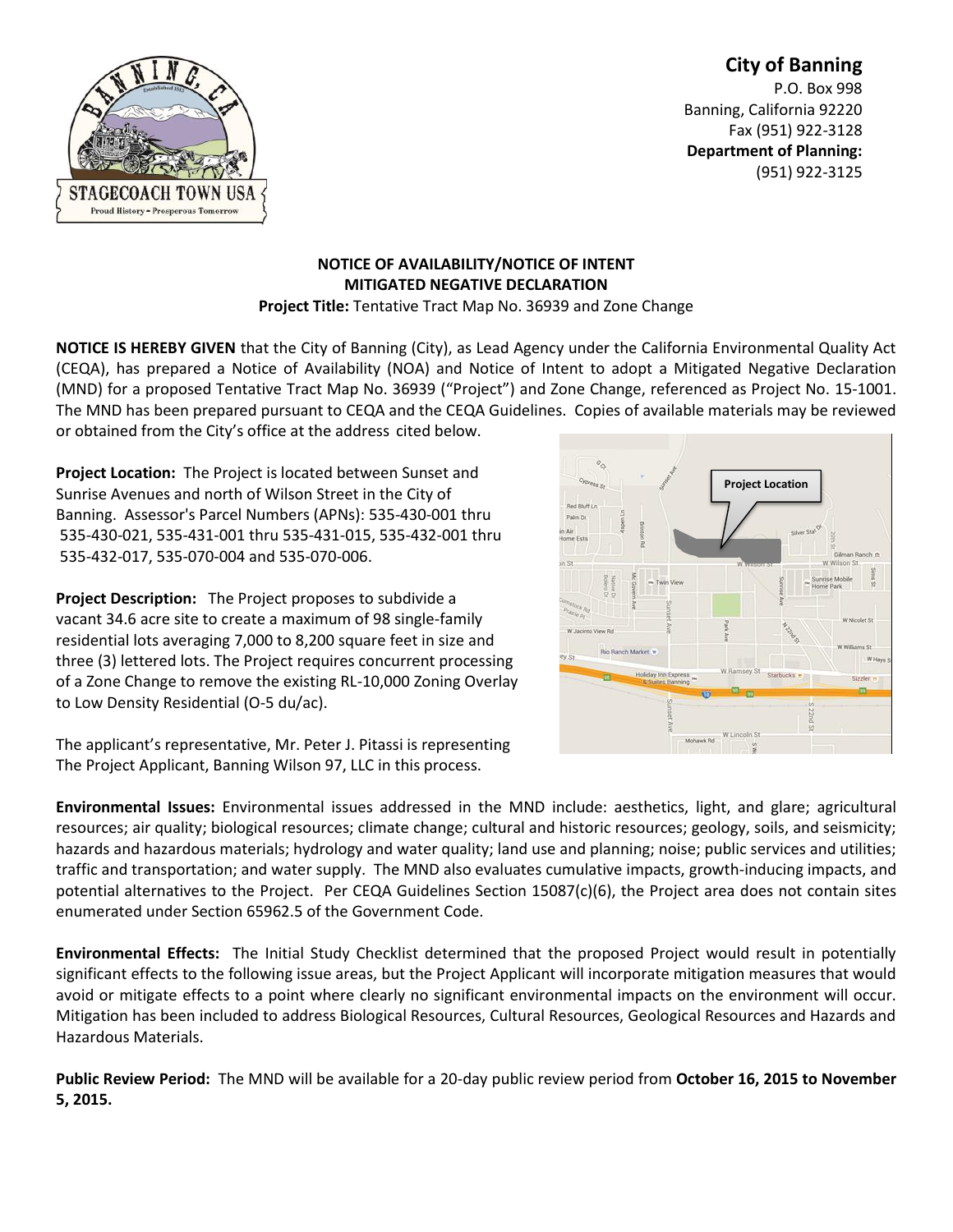# **City of Banning** P.O. Box 998 Banning, California 92220 Fax (951) 922-3128 **Department of Planning:** (951) 922-3125



# **NOTICE OF AVAILABILITY/NOTICE OF INTENT MITIGATED NEGATIVE DECLARATION**

**Project Title:** Tentative Tract Map No. 36939 and Zone Change

**NOTICE IS HEREBY GIVEN** that the City of Banning (City), as Lead Agency under the California Environmental Quality Act (CEQA), has prepared a Notice of Availability (NOA) and Notice of Intent to adopt a Mitigated Negative Declaration (MND) for a proposed Tentative Tract Map No. 36939 ("Project") and Zone Change, referenced as Project No. 15-1001. The MND has been prepared pursuant to CEQA and the CEQA Guidelines. Copies of available materials may be reviewed or obtained from the City's office at the address cited below.

**Project Location:** The Project is located between Sunset and Sunrise Avenues and north of Wilson Street in the City of Banning. Assessor's Parcel Numbers (APNs): 535-430-001 thru 535-430-021, 535-431-001 thru 535-431-015, 535-432-001 thru 535-432-017, 535-070-004 and 535-070-006.

**Project Description:** The Project proposes to subdivide a vacant 34.6 acre site to create a maximum of 98 single-family residential lots averaging 7,000 to 8,200 square feet in size and three (3) lettered lots. The Project requires concurrent processing of a Zone Change to remove the existing RL-10,000 Zoning Overlay to Low Density Residential (O-5 du/ac).

The applicant's representative, Mr. Peter J. Pitassi is representing The Project Applicant, Banning Wilson 97, LLC in this process.

**Environmental Issues:** Environmental issues addressed in the MND include: aesthetics, light, and glare; agricultural resources; air quality; biological resources; climate change; cultural and historic resources; geology, soils, and seismicity; hazards and hazardous materials; hydrology and water quality; land use and planning; noise; public services and utilities; traffic and transportation; and water supply. The MND also evaluates cumulative impacts, growth-inducing impacts, and potential alternatives to the Project. Per CEQA Guidelines Section 15087(c)(6), the Project area does not contain sites enumerated under Section 65962.5 of the Government Code.

**Environmental Effects:** The Initial Study Checklist determined that the proposed Project would result in potentially significant effects to the following issue areas, but the Project Applicant will incorporate mitigation measures that would avoid or mitigate effects to a point where clearly no significant environmental impacts on the environment will occur. Mitigation has been included to address Biological Resources, Cultural Resources, Geological Resources and Hazards and Hazardous Materials.

**Public Review Period:** The MND will be available for a 20-day public review period from **October 16, 2015 to November 5, 2015.**

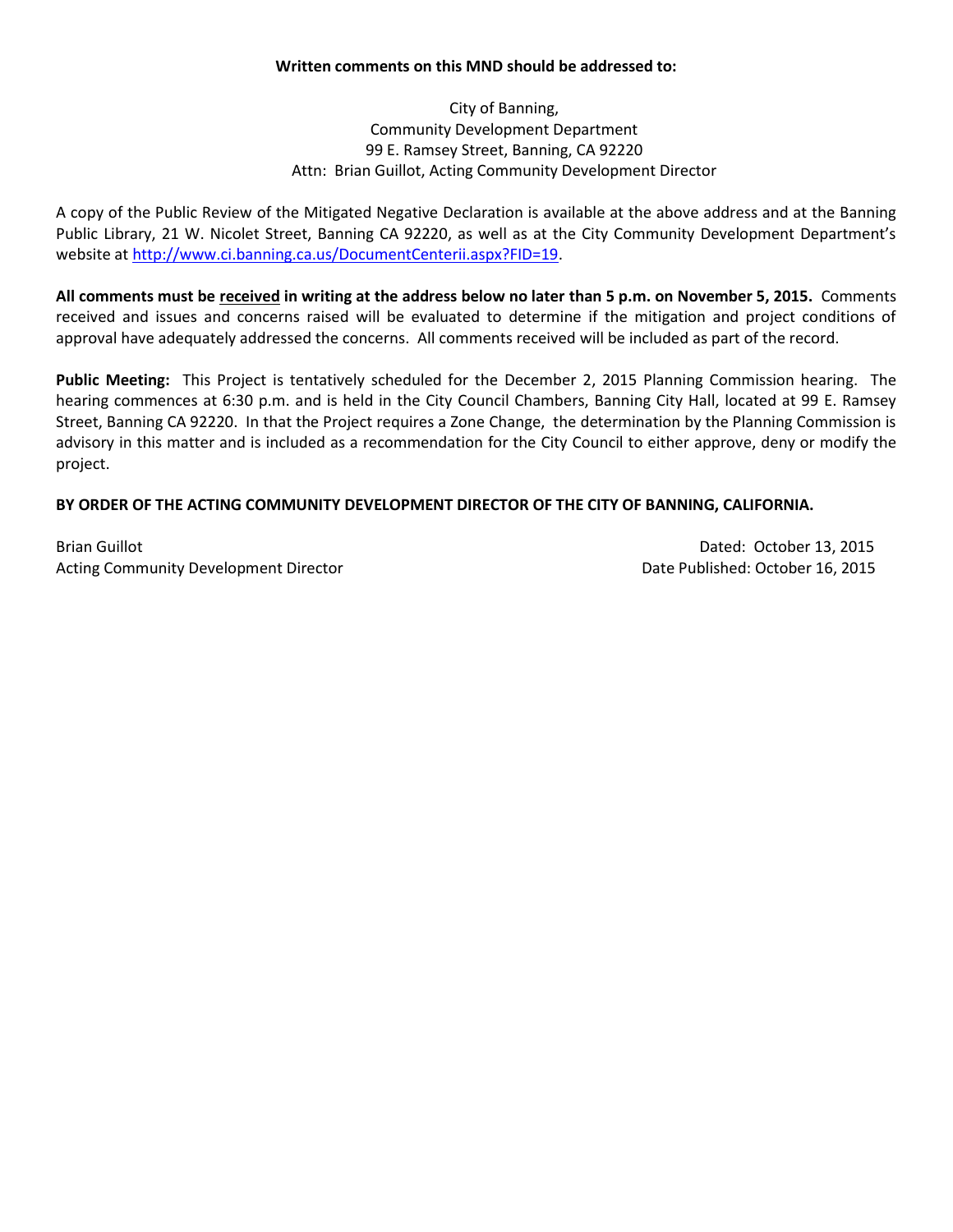### **Written comments on this MND should be addressed to:**

City of Banning, Community Development Department 99 E. Ramsey Street, Banning, CA 92220 Attn: Brian Guillot, Acting Community Development Director

A copy of the Public Review of the Mitigated Negative Declaration is available at the above address and at the Banning Public Library, 21 W. Nicolet Street, Banning CA 92220, as well as at the City Community Development Department's website at [http://www.ci.banning.ca.us/DocumentCenterii.aspx?FID=19.](http://www.ci.banning.ca.us/DocumentCenterii.aspx?FID=19)

**All comments must be received in writing at the address below no later than 5 p.m. on November 5, 2015.** Comments received and issues and concerns raised will be evaluated to determine if the mitigation and project conditions of approval have adequately addressed the concerns. All comments received will be included as part of the record.

**Public Meeting:** This Project is tentatively scheduled for the December 2, 2015 Planning Commission hearing. The hearing commences at 6:30 p.m. and is held in the City Council Chambers, Banning City Hall, located at 99 E. Ramsey Street, Banning CA 92220. In that the Project requires a Zone Change, the determination by the Planning Commission is advisory in this matter and is included as a recommendation for the City Council to either approve, deny or modify the project.

# **BY ORDER OF THE ACTING COMMUNITY DEVELOPMENT DIRECTOR OF THE CITY OF BANNING, CALIFORNIA.**

Brian Guillot **Dated: October 13, 2015** Acting Community Development Director **Director Community Development Director** Date Published: October 16, 2015